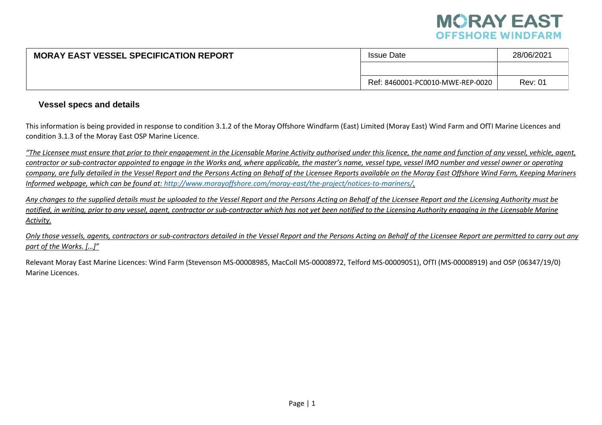

| <b>MORAY EAST VESSEL SPECIFICATION REPORT</b> | <b>Issue Date</b>                | 28/06/2021     |  |
|-----------------------------------------------|----------------------------------|----------------|--|
|                                               |                                  |                |  |
|                                               | Ref: 8460001-PC0010-MWE-REP-0020 | <b>Rev: 01</b> |  |

#### **Vessel specs and details**

This information is being provided in response to condition 3.1.2 of the Moray Offshore Windfarm (East) Limited (Moray East) Wind Farm and OfTI Marine Licences and condition 3.1.3 of the Moray East OSP Marine Licence.

*"The Licensee must ensure that prior to their engagement in the Licensable Marine Activity authorised under this licence, the name and function of any vessel, vehicle, agent, contractor or sub-contractor appointed to engage in the Works and, where applicable, the master's name, vessel type, vessel IMO number and vessel owner or operating company, are fully detailed in the Vessel Report and the Persons Acting on Behalf of the Licensee Reports available on the Moray East Offshore Wind Farm, Keeping Mariners Informed webpage, which can be found at: [http://www.morayoffshore.com/moray-east/the-project/notices-to-mariners/.](http://www.morayoffshore.com/moray-east/the-project/notices-to-mariners/)*

*Any changes to the supplied details must be uploaded to the Vessel Report and the Persons Acting on Behalf of the Licensee Report and the Licensing Authority must be* notified, in writing, prior to any vessel, agent, contractor or sub-contractor which has not yet been notified to the Licensing Authority engaging in the Licensable Marine *Activity.*

*Only those vessels, agents, contractors or sub-contractors detailed in the Vessel Report and the Persons Acting on Behalf of the Licensee Report are permitted to carry out any part of the Works. […]"*

Relevant Moray East Marine Licences: Wind Farm (Stevenson MS-00008985, MacColl MS-00008972, Telford MS-00009051), OfTI (MS-00008919) and OSP (06347/19/0) Marine Licences.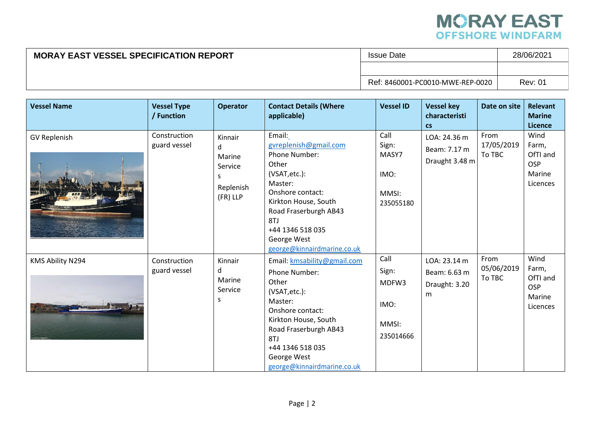

#### **MORAY EAST VESSEL SPECIFICATION REPORT ISSUE Date** 28/06/2021 Ref: 8460001-PC0010-MWE-REP-0020 Rev: 01

| <b>Vessel Name</b>  | <b>Vessel Type</b><br>/ Function | <b>Operator</b>                                                  | <b>Contact Details (Where</b><br>applicable)                                                                                                                                                                                               | <b>Vessel ID</b>                                     | <b>Vessel key</b><br>characteristi<br>$\mathsf{cs}$ | Date on site                 | <b>Relevant</b><br><b>Marine</b><br>Licence                   |
|---------------------|----------------------------------|------------------------------------------------------------------|--------------------------------------------------------------------------------------------------------------------------------------------------------------------------------------------------------------------------------------------|------------------------------------------------------|-----------------------------------------------------|------------------------------|---------------------------------------------------------------|
| <b>GV Replenish</b> | Construction<br>guard vessel     | Kinnair<br>d.<br>Marine<br>Service<br>S<br>Replenish<br>(FR) LLP | Email:<br>gvreplenish@gmail.com<br><b>Phone Number:</b><br>Other<br>(VSAT, etc.):<br>Master:<br>Onshore contact:<br>Kirkton House, South<br>Road Fraserburgh AB43<br>8TJ<br>+44 1346 518 035<br>George West<br>george@kinnairdmarine.co.uk | Call<br>Sign:<br>MASY7<br>IMO:<br>MMSI:<br>235055180 | LOA: 24.36 m<br>Beam: 7.17 m<br>Draught 3.48 m      | From<br>17/05/2019<br>To TBC | Wind<br>Farm,<br>OfTI and<br><b>OSP</b><br>Marine<br>Licences |
| KMS Ability N294    | Construction<br>guard vessel     | Kinnair<br>d<br>Marine<br>Service<br>S                           | Email: kmsability@gmail.com<br>Phone Number:<br>Other<br>(VSAT, etc.):<br>Master:<br>Onshore contact:<br>Kirkton House, South<br>Road Fraserburgh AB43<br>8TJ<br>+44 1346 518 035<br>George West<br>george@kinnairdmarine.co.uk            | Call<br>Sign:<br>MDFW3<br>IMO:<br>MMSI:<br>235014666 | LOA: 23.14 m<br>Beam: 6.63 m<br>Draught: 3.20<br>m  | From<br>05/06/2019<br>To TBC | Wind<br>Farm,<br>OfTI and<br><b>OSP</b><br>Marine<br>Licences |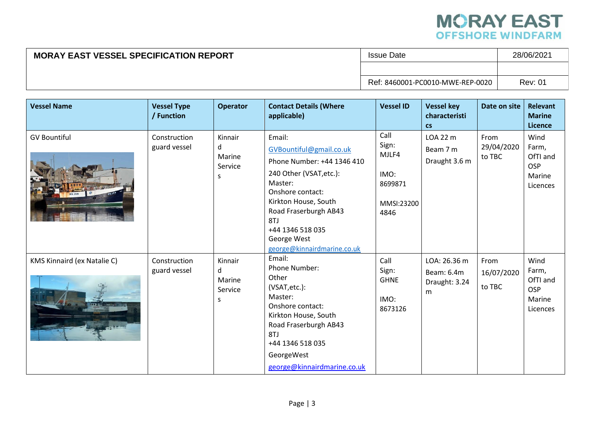

| <b>MORAY EAST VESSEL SPECIFICATION REPORT</b> | <b>Issue Date</b>                | 28/06/2021     |  |
|-----------------------------------------------|----------------------------------|----------------|--|
|                                               |                                  |                |  |
|                                               | Ref: 8460001-PC0010-MWE-REP-0020 | <b>Rev: 01</b> |  |

| <b>Vessel Name</b>                 | <b>Vessel Type</b><br>/ Function | <b>Operator</b>                                   | <b>Contact Details (Where</b><br>applicable)                                                                                                                                                                                                        | <b>Vessel ID</b>                                                | <b>Vessel key</b><br>characteristi<br>$\mathsf{cs}$ | Date on site                 | <b>Relevant</b><br><b>Marine</b><br><b>Licence</b>            |
|------------------------------------|----------------------------------|---------------------------------------------------|-----------------------------------------------------------------------------------------------------------------------------------------------------------------------------------------------------------------------------------------------------|-----------------------------------------------------------------|-----------------------------------------------------|------------------------------|---------------------------------------------------------------|
| <b>GV Bountiful</b>                | Construction<br>guard vessel     | Kinnair<br>d<br>Marine<br>Service<br>S            | Email:<br>GVBountiful@gmail.co.uk<br>Phone Number: +44 1346 410<br>240 Other (VSAT, etc.):<br>Master:<br>Onshore contact:<br>Kirkton House, South<br>Road Fraserburgh AB43<br>8TJ<br>+44 1346 518 035<br>George West<br>george@kinnairdmarine.co.uk | Call<br>Sign:<br>MJLF4<br>IMO:<br>8699871<br>MMSI:23200<br>4846 | LOA 22 m<br>Beam 7 m<br>Draught 3.6 m               | From<br>29/04/2020<br>to TBC | Wind<br>Farm,<br>OfTI and<br><b>OSP</b><br>Marine<br>Licences |
| <b>KMS Kinnaird (ex Natalie C)</b> | Construction<br>guard vessel     | Kinnair<br><sub>d</sub><br>Marine<br>Service<br>S | Email:<br>Phone Number:<br>Other<br>(VSAT, etc.):<br>Master:<br>Onshore contact:<br>Kirkton House, South<br>Road Fraserburgh AB43<br>8TJ<br>+44 1346 518 035<br>GeorgeWest<br>george@kinnairdmarine.co.uk                                           | Call<br>Sign:<br><b>GHNE</b><br>IMO:<br>8673126                 | LOA: 26.36 m<br>Beam: 6.4m<br>Draught: 3.24<br>m    | From<br>16/07/2020<br>to TBC | Wind<br>Farm,<br>OfTI and<br>OSP<br>Marine<br>Licences        |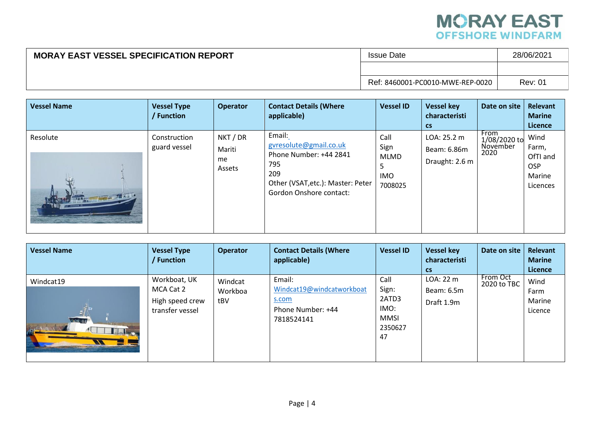

| <b>MORAY EAST VESSEL SPECIFICATION REPORT</b> | <b>Issue Date</b>                | 28/06/2021     |  |
|-----------------------------------------------|----------------------------------|----------------|--|
|                                               |                                  |                |  |
|                                               | Ref: 8460001-PC0010-MWE-REP-0020 | <b>Rev: 01</b> |  |

| <b>Vessel Name</b>          | <b>Vessel Type</b><br>/ Function | <b>Operator</b>                    | <b>Contact Details (Where</b><br>applicable)                                                                                             | <b>Vessel ID</b>                                   | <b>Vessel key</b><br>characteristi<br><b>CS</b> | Date on site                             | Relevant<br><b>Marine</b><br><b>Licence</b>                   |
|-----------------------------|----------------------------------|------------------------------------|------------------------------------------------------------------------------------------------------------------------------------------|----------------------------------------------------|-------------------------------------------------|------------------------------------------|---------------------------------------------------------------|
| Resolute<br><b>ATA AREA</b> | Construction<br>guard vessel     | NKT / DR<br>Mariti<br>me<br>Assets | Email:<br>gyresolute@gmail.co.uk<br>Phone Number: +44 2841<br>795<br>209<br>Other (VSAT, etc.): Master: Peter<br>Gordon Onshore contact: | Call<br>Sign<br>MLMD<br>כ<br><b>IMO</b><br>7008025 | LOA: 25.2 m<br>Beam: 6.86m<br>Draught: 2.6 m    | From<br>1/08/2020 to<br>November<br>2020 | Wind<br>Farm,<br>OfTI and<br><b>OSP</b><br>Marine<br>Licences |

| <b>Vessel Name</b>          | <b>Vessel Type</b><br>Function                                  | <b>Operator</b>           | <b>Contact Details (Where</b><br>applicable)                                    | <b>Vessel ID</b>                                               | <b>Vessel key</b><br>characteristi<br><b>CS</b> | Date on site            | Relevant<br><b>Marine</b><br>Licence |
|-----------------------------|-----------------------------------------------------------------|---------------------------|---------------------------------------------------------------------------------|----------------------------------------------------------------|-------------------------------------------------|-------------------------|--------------------------------------|
| Windcat19<br><b>NAME OF</b> | Workboat, UK<br>MCA Cat 2<br>High speed crew<br>transfer vessel | Windcat<br>Workboa<br>tBV | Email:<br>Windcat19@windcatworkboat<br>s.com<br>Phone Number: +44<br>7818524141 | Call<br>Sign:<br>2ATD3<br>IMO:<br><b>MMSI</b><br>2350627<br>47 | LOA: 22 m<br>Beam: 6.5m<br>Draft 1.9m           | From Oct<br>2020 to TBC | Wind<br>Farm<br>Marine<br>Licence    |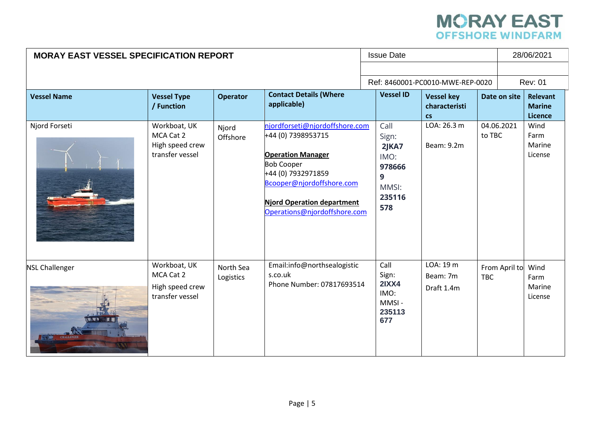# **MORAY EAST**<br>OFFSHORE WINDFARM

| <b>MORAY EAST VESSEL SPECIFICATION REPORT</b> |                                                                 |                        |                                                                                                                                                                                                                        |  |                                                                            | <b>Issue Date</b>                                   |            |               | 28/06/2021                           |  |
|-----------------------------------------------|-----------------------------------------------------------------|------------------------|------------------------------------------------------------------------------------------------------------------------------------------------------------------------------------------------------------------------|--|----------------------------------------------------------------------------|-----------------------------------------------------|------------|---------------|--------------------------------------|--|
|                                               |                                                                 |                        |                                                                                                                                                                                                                        |  |                                                                            | Ref: 8460001-PC0010-MWE-REP-0020                    |            |               | <b>Rev: 01</b>                       |  |
| <b>Vessel Name</b>                            | <b>Vessel Type</b><br>/ Function                                | <b>Operator</b>        | <b>Contact Details (Where</b><br>applicable)                                                                                                                                                                           |  | <b>Vessel ID</b>                                                           | <b>Vessel key</b><br>characteristi<br>$\mathsf{cs}$ |            | Date on site  | Relevant<br><b>Marine</b><br>Licence |  |
| Njord Forseti                                 | Workboat, UK<br>MCA Cat 2<br>High speed crew<br>transfer vessel | Njord<br>Offshore      | njordforseti@njordoffshore.com<br>+44 (0) 7398953715<br><b>Operation Manager</b><br><b>Bob Cooper</b><br>+44 (0) 7932971859<br>Bcooper@njordoffshore.com<br>Njord Operation department<br>Operations@njordoffshore.com |  | Call<br>Sign:<br>$2$ JKA7<br>IMO:<br>978666<br>9<br>MMSI:<br>235116<br>578 | LOA: 26.3 m<br>Beam: 9.2m                           | to TBC     | 04.06.2021    | Wind<br>Farm<br>Marine<br>License    |  |
| <b>NSL Challenger</b>                         | Workboat, UK<br>MCA Cat 2<br>High speed crew<br>transfer vessel | North Sea<br>Logistics | Email:info@northsealogistic<br>s.co.uk<br>Phone Number: 07817693514                                                                                                                                                    |  | Call<br>Sign:<br><b>2IXX4</b><br>IMO:<br>MMSI-<br>235113<br>677            | LOA: 19 m<br>Beam: 7m<br>Draft 1.4m                 | <b>TBC</b> | From April to | Wind<br>Farm<br>Marine<br>License    |  |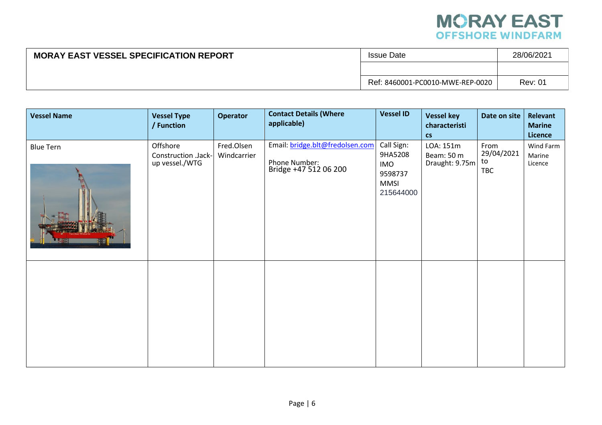

| <b>MORAY EAST VESSEL SPECIFICATION REPORT</b> | <b>Issue Date</b>                | 28/06/2021     |  |
|-----------------------------------------------|----------------------------------|----------------|--|
|                                               |                                  |                |  |
|                                               | Ref: 8460001-PC0010-MWE-REP-0020 | <b>Rev: 01</b> |  |

| <b>Vessel Name</b> | <b>Vessel Type</b><br>/ Function                  | <b>Operator</b>           | <b>Contact Details (Where</b><br>applicable)                              | <b>Vessel ID</b>                                                           | <b>Vessel key</b><br>characteristi<br>$\mathsf{cs}$ | Date on site                           | Relevant<br><b>Marine</b><br>Licence |
|--------------------|---------------------------------------------------|---------------------------|---------------------------------------------------------------------------|----------------------------------------------------------------------------|-----------------------------------------------------|----------------------------------------|--------------------------------------|
| <b>Blue Tern</b>   | Offshore<br>Construction .Jack-<br>up vessel./WTG | Fred.Olsen<br>Windcarrier | Email: bridge.blt@fredolsen.com<br>Phone Number:<br>Bridge +47 512 06 200 | Call Sign:<br>9HA5208<br><b>IMO</b><br>9598737<br><b>MMSI</b><br>215644000 | LOA: 151m<br>Beam: 50 m<br>Draught: 9.75m           | From<br>29/04/2021<br>to<br><b>TBC</b> | Wind Farm<br>Marine<br>Licence       |
|                    |                                                   |                           |                                                                           |                                                                            |                                                     |                                        |                                      |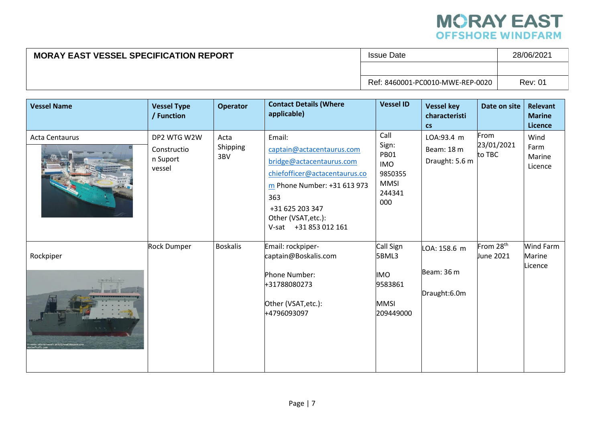

| <b>MORAY EAST VESSEL SPECIFICATION REPORT</b> | <b>Issue Date</b>                | 28/06/2021     |  |
|-----------------------------------------------|----------------------------------|----------------|--|
|                                               |                                  |                |  |
|                                               | Ref: 8460001-PC0010-MWE-REP-0020 | <b>Rev: 01</b> |  |

| <b>Vessel Name</b> | <b>Vessel Type</b><br>/ Function                 | <b>Operator</b>         | <b>Contact Details (Where</b><br>applicable)                                                                                                                                                              | <b>Vessel ID</b>                                                                      | <b>Vessel key</b><br>characteristi<br>$\mathsf{cs}$ | Date on site                       | <b>Relevant</b><br><b>Marine</b><br>Licence |
|--------------------|--------------------------------------------------|-------------------------|-----------------------------------------------------------------------------------------------------------------------------------------------------------------------------------------------------------|---------------------------------------------------------------------------------------|-----------------------------------------------------|------------------------------------|---------------------------------------------|
| Acta Centaurus     | DP2 WTG W2W<br>Constructio<br>n Suport<br>vessel | Acta<br>Shipping<br>3BV | Email:<br>captain@actacentaurus.com<br>bridge@actacentaurus.com<br>chiefofficer@actacentaurus.co<br>m Phone Number: +31 613 973<br>363<br>+31 625 203 347<br>Other (VSAT, etc.):<br>V-sat +31 853 012 161 | Call<br>Sign:<br><b>PB01</b><br><b>IMO</b><br>9850355<br><b>MMSI</b><br>244341<br>000 | LOA:93.4 m<br>Beam: 18 m<br>Draught: 5.6 m          | From<br>23/01/2021<br>to TBC       | Wind<br>Farm<br>Marine<br>Licence           |
| Rockpiper          | <b>Rock Dumper</b>                               | <b>Boskalis</b>         | Email: rockpiper-<br>captain@Boskalis.com<br>Phone Number:<br>+31788080273<br>Other (VSAT, etc.):<br>+4796093097                                                                                          | Call Sign<br>5BML3<br><b>IMO</b><br>9583861<br><b>MMSI</b><br>209449000               | LOA: 158.6 m<br>Beam: 36 m<br>Draught:6.0m          | From 28 <sup>th</sup><br>June 2021 | Wind Farm<br>Marine<br>Licence              |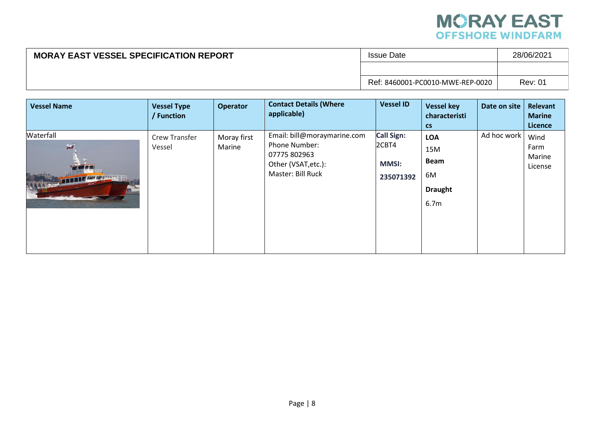# **MORAY EAST**<br>OFFSHORE WINDFARM

| <b>MORAY EAST VESSEL SPECIFICATION REPORT</b> | Issue Date                       | 28/06/2021     |  |
|-----------------------------------------------|----------------------------------|----------------|--|
|                                               |                                  |                |  |
|                                               | Ref: 8460001-PC0010-MWE-REP-0020 | <b>Rev: 01</b> |  |

| <b>Vessel Name</b>                                 | <b>Vessel Type</b><br>/ Function | <b>Operator</b>       | <b>Contact Details (Where</b><br>applicable)                                                             | <b>Vessel ID</b>                                        | <b>Vessel key</b><br>characteristi<br>$\mathsf{cs}$                          | Date on site | Relevant<br><b>Marine</b><br><b>Licence</b> |
|----------------------------------------------------|----------------------------------|-----------------------|----------------------------------------------------------------------------------------------------------|---------------------------------------------------------|------------------------------------------------------------------------------|--------------|---------------------------------------------|
| Waterfall<br>$\mathbf{x}$<br><b>THEFT ASSESSED</b> | <b>Crew Transfer</b><br>Vessel   | Moray first<br>Marine | Email: bill@moraymarine.com<br>Phone Number:<br>07775 802963<br>Other (VSAT, etc.):<br>Master: Bill Ruck | <b>Call Sign:</b><br>2CBT4<br><b>MMSI:</b><br>235071392 | <b>LOA</b><br>15M<br><b>Beam</b><br>6M<br><b>Draught</b><br>6.7 <sub>m</sub> | Ad hoc work  | Wind<br>Farm<br>Marine<br>License           |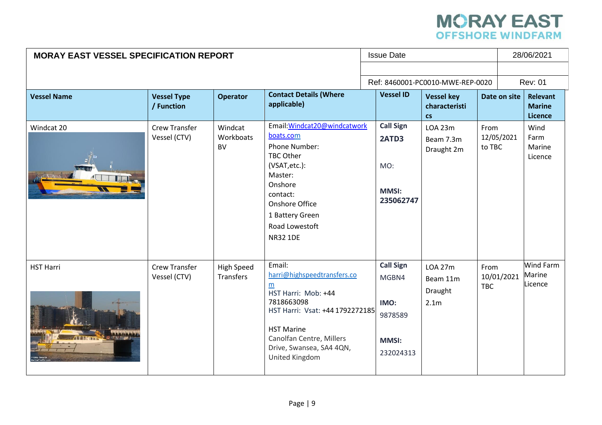# **MORAY EAST**<br>OFFSHORE WINDFARM

| <b>MORAY EAST VESSEL SPECIFICATION REPORT</b> |                                      |                                   | <b>Issue Date</b>                                                                                                                                                                                                 |                                                                           |  |                                                           | 28/06/2021         |              |                                             |
|-----------------------------------------------|--------------------------------------|-----------------------------------|-------------------------------------------------------------------------------------------------------------------------------------------------------------------------------------------------------------------|---------------------------------------------------------------------------|--|-----------------------------------------------------------|--------------------|--------------|---------------------------------------------|
|                                               |                                      | Ref: 8460001-PC0010-MWE-REP-0020  |                                                                                                                                                                                                                   |                                                                           |  | <b>Rev: 01</b>                                            |                    |              |                                             |
| <b>Vessel Name</b>                            | <b>Vessel Type</b><br>/ Function     | <b>Operator</b>                   | <b>Contact Details (Where</b><br>applicable)                                                                                                                                                                      | <b>Vessel ID</b>                                                          |  | <b>Vessel key</b><br>characteristi<br>$\mathsf{cs}$       |                    | Date on site | <b>Relevant</b><br><b>Marine</b><br>Licence |
| Windcat 20                                    | <b>Crew Transfer</b><br>Vessel (CTV) | Windcat<br>Workboats<br><b>BV</b> | Email: Windcat20@windcatwork<br>boats.com<br>Phone Number:<br>TBC Other<br>(VSAT, etc.):<br>Master:<br>Onshore<br>contact:<br>Onshore Office<br>1 Battery Green<br>Road Lowestoft<br><b>NR32 1DE</b>              | <b>Call Sign</b><br>2ATD3<br>MO:<br><b>MMSI:</b><br>235062747             |  | <b>LOA 23m</b><br>Beam 7.3m<br>Draught 2m                 | From<br>to TBC     | 12/05/2021   | Wind<br>Farm<br>Marine<br>Licence           |
| <b>HST Harri</b>                              | <b>Crew Transfer</b><br>Vessel (CTV) | <b>High Speed</b><br>Transfers    | Email:<br>harri@highspeedtransfers.co<br>m<br>HST Harri: Mob: +44<br>7818663098<br>HST Harri: Vsat: +44 1792272185<br><b>HST Marine</b><br>Canolfan Centre, Millers<br>Drive, Swansea, SA4 4QN,<br>United Kingdom | <b>Call Sign</b><br>MGBN4<br>IMO:<br>9878589<br><b>MMSI:</b><br>232024313 |  | <b>LOA 27m</b><br>Beam 11m<br>Draught<br>2.1 <sub>m</sub> | From<br><b>TBC</b> | 10/01/2021   | Wind Farm<br>Marine<br>Licence              |